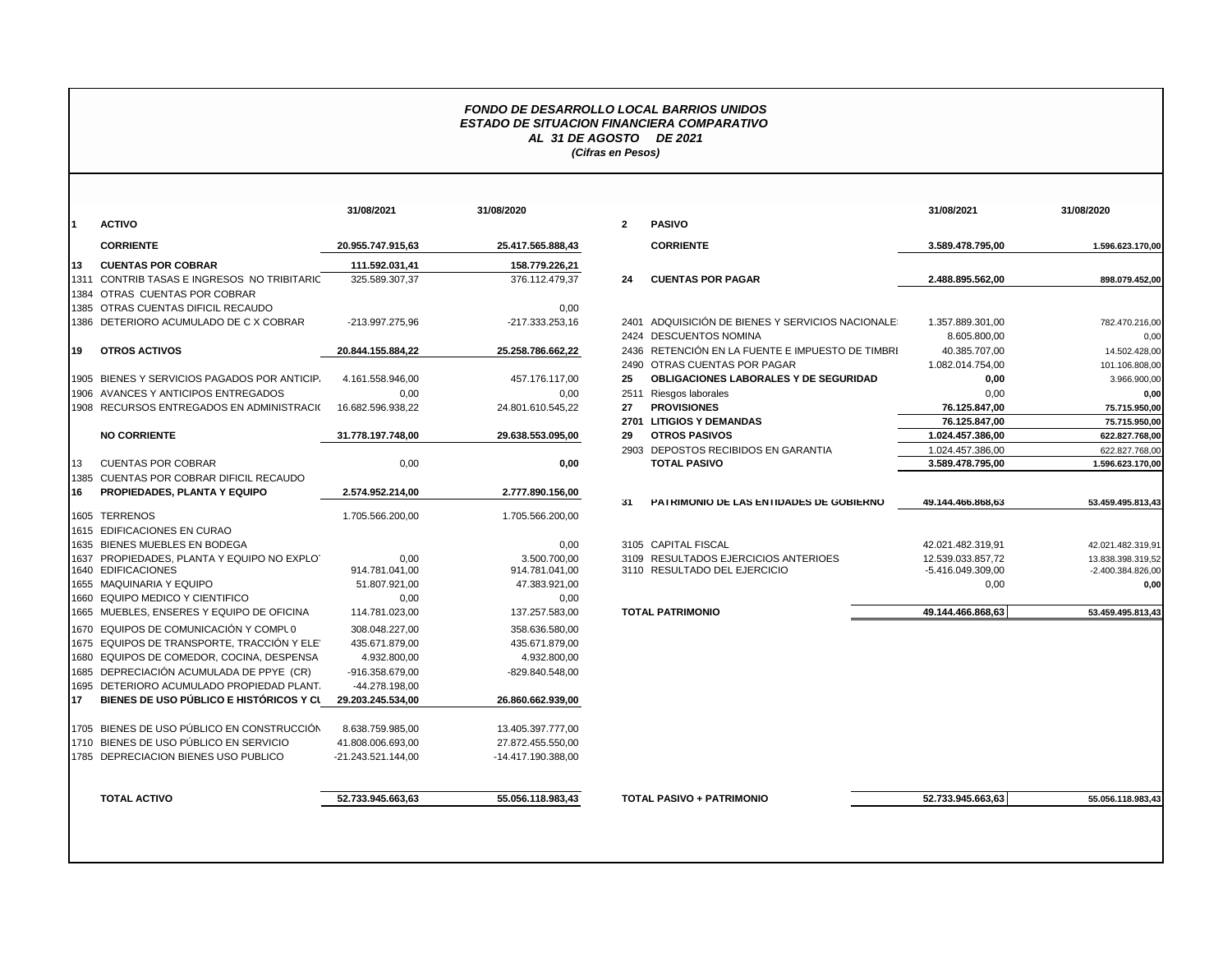## *FONDO DE DESARROLLO LOCAL BARRIOS UNIDOS ESTADO DE SITUACION FINANCIERA COMPARATIVO AL 31 DE AGOSTO DE 2021 (Cifras en Pesos)*

|              |                                              | 31/08/2021         | 31/08/2020         |              |                    |
|--------------|----------------------------------------------|--------------------|--------------------|--------------|--------------------|
| $\mathbf{1}$ | <b>ACTIVO</b>                                |                    |                    | $\mathbf{2}$ | <b>PASIVO</b>      |
|              | <b>CORRIENTE</b>                             | 20.955.747.915.63  | 25.417.565.888,43  |              | <b>CORRIE</b>      |
| 13           | <b>CUENTAS POR COBRAR</b>                    | 111.592.031,41     | 158.779.226,21     |              |                    |
|              | 1311 CONTRIB TASAS E INGRESOS NO TRIBITARIC  | 325.589.307,37     | 376.112.479,37     | 24           | <b>CUENT/</b>      |
|              | 1384 OTRAS CUENTAS POR COBRAR                |                    |                    |              |                    |
|              | 1385 OTRAS CUENTAS DIFICIL RECAUDO           |                    | 0,00               |              |                    |
|              | 1386 DETERIORO ACUMULADO DE C X COBRAR       | -213.997.275,96    | -217.333.253,16    |              | 2401 ADQUIS        |
|              |                                              |                    |                    |              | 2424 DESCUI        |
| 19           | <b>OTROS ACTIVOS</b>                         | 20.844.155.884.22  | 25.258.786.662,22  |              | 2436 RETENG        |
|              |                                              |                    |                    |              | 2490 OTRAS         |
|              | 1905 BIENES Y SERVICIOS PAGADOS POR ANTICIP. | 4.161.558.946.00   | 457.176.117,00     | 25           | <b>OBLIGA</b>      |
|              | 1906 AVANCES Y ANTICIPOS ENTREGADOS          | 0,00               | 0,00               |              | 2511 Riesgos       |
|              | 1908 RECURSOS ENTREGADOS EN ADMINISTRACIO    | 16.682.596.938,22  | 24.801.610.545,22  | 27           | <b>PROVIS</b>      |
|              |                                              |                    |                    |              | 2701 LITIGIO       |
|              | <b>NO CORRIENTE</b>                          | 31.778.197.748,00  | 29.638.553.095,00  | 29           | <b>OTROS</b>       |
|              |                                              |                    |                    |              | 2903 DEPOS         |
| 13           | <b>CUENTAS POR COBRAR</b>                    | 0,00               | 0,00               |              | <b>TOTAL</b>       |
|              | 1385 CUENTAS POR COBRAR DIFICIL RECAUDO      |                    |                    |              |                    |
| 16           | PROPIEDADES, PLANTA Y EQUIPO                 | 2.574.952.214,00   | 2.777.890.156.00   |              |                    |
|              |                                              |                    |                    | 31           | <b>PATRIM</b>      |
|              | 1605 TERRENOS                                | 1.705.566.200,00   | 1.705.566.200,00   |              |                    |
|              | 1615 EDIFICACIONES EN CURAO                  |                    |                    |              |                    |
|              | 1635 BIENES MUEBLES EN BODEGA                |                    | 0,00               |              | 3105 CAPITA        |
|              | 1637 PROPIEDADES, PLANTA Y EQUIPO NO EXPLOT  | 0.00               | 3.500.700.00       |              | 3109 RESULT        |
|              | 1640 EDIFICACIONES                           | 914.781.041,00     | 914.781.041,00     |              | 3110 RESULT        |
|              | 1655 MAQUINARIA Y EQUIPO                     | 51.807.921,00      | 47.383.921,00      |              |                    |
|              | 1660 EQUIPO MEDICO Y CIENTIFICO              | 0,00               | 0,00               |              |                    |
|              | 1665 MUEBLES, ENSERES Y EQUIPO DE OFICINA    | 114.781.023,00     | 137.257.583,00     |              | <b>TOTAL PATRI</b> |
|              | 1670 EQUIPOS DE COMUNICACIÓN Y COMPLO        | 308.048.227,00     | 358.636.580,00     |              |                    |
|              | 1675 EQUIPOS DE TRANSPORTE, TRACCIÓN Y ELE   | 435.671.879,00     | 435.671.879,00     |              |                    |
|              | 1680 EQUIPOS DE COMEDOR, COCINA, DESPENSA    | 4.932.800,00       | 4.932.800,00       |              |                    |
|              | 1685 DEPRECIACIÓN ACUMULADA DE PPYE (CR)     | -916.358.679,00    | -829.840.548,00    |              |                    |
|              | 1695 DETERIORO ACUMULADO PROPIEDAD PLANT.    | -44.278.198,00     |                    |              |                    |
| 17           | BIENES DE USO PÚBLICO E HISTÓRICOS Y CI      | 29.203.245.534,00  | 26.860.662.939,00  |              |                    |
|              | 1705 BIENES DE USO PÚBLICO EN CONSTRUCCIÓN   | 8.638.759.985,00   | 13.405.397.777,00  |              |                    |
|              | 1710 BIENES DE USO PÚBLICO EN SERVICIO       | 41.808.006.693,00  | 27.872.455.550,00  |              |                    |
|              | 1785 DEPRECIACION BIENES USO PUBLICO         | -21.243.521.144,00 | -14.417.190.388,00 |              |                    |
|              |                                              |                    |                    |              |                    |
|              | <b>TOTAL ACTIVO</b>                          | 52.733.945.663.63  | 55.056.118.983.43  |              | <b>TOTAL PASIV</b> |

|    |                                                | 31/08/2021         | 31/08/2020         |              |                                                  | 31/08/2021        | 31/08/2020          |
|----|------------------------------------------------|--------------------|--------------------|--------------|--------------------------------------------------|-------------------|---------------------|
|    | <b>ACTIVO</b>                                  |                    |                    | $\mathbf{2}$ | <b>PASIVO</b>                                    |                   |                     |
|    | <b>CORRIENTE</b>                               | 20.955.747.915.63  | 25.417.565.888,43  |              | <b>CORRIENTE</b>                                 | 3.589.478.795.00  | 1.596.623.170,00    |
| 13 | <b>CUENTAS POR COBRAR</b>                      | 111.592.031.41     | 158.779.226.21     |              |                                                  |                   |                     |
|    | 1311 CONTRIB TASAS E INGRESOS NO TRIBITARIC    | 325.589.307.37     | 376.112.479.37     | 24           | <b>CUENTAS POR PAGAR</b>                         | 2.488.895.562.00  | 898.079.452.00      |
|    | 1384 OTRAS CUENTAS POR COBRAR                  |                    |                    |              |                                                  |                   |                     |
|    | 1385 OTRAS CUENTAS DIFICIL RECAUDO             |                    | 0,00               |              |                                                  |                   |                     |
|    | 1386 DETERIORO ACUMULADO DE C X COBRAR         | -213.997.275,96    | $-217.333.253.16$  |              | 2401 ADQUISICIÓN DE BIENES Y SERVICIOS NACIONALE | 1.357.889.301,00  | 782.470.216,00      |
|    |                                                |                    |                    |              | 2424 DESCUENTOS NOMINA                           | 8.605.800,00      | 0,00                |
| 19 | <b>OTROS ACTIVOS</b>                           | 20.844.155.884.22  | 25.258.786.662,22  |              | 2436 RETENCIÓN EN LA FUENTE E IMPUESTO DE TIMBRI | 40.385.707,00     | 14.502.428,00       |
|    |                                                |                    |                    | 2490         | OTRAS CUENTAS POR PAGAR                          | 1.082.014.754,00  | 101.106.808,00      |
|    | 1905 BIENES Y SERVICIOS PAGADOS POR ANTICIP.   | 4.161.558.946,00   | 457.176.117.00     | 25           | <b>OBLIGACIONES LABORALES Y DE SEGURIDAD</b>     | 0,00              | 3.966.900,00        |
|    | 1906 AVANCES Y ANTICIPOS ENTREGADOS            | 0,00               | 0.00               |              | 2511 Riesgos laborales                           | 0,00              | 0,00                |
|    | 1908 RECURSOS ENTREGADOS EN ADMINISTRACIO      | 16.682.596.938.22  | 24.801.610.545.22  | 27           | <b>PROVISIONES</b>                               | 76.125.847.00     | 75.715.950.00       |
|    |                                                |                    |                    |              | 2701 LITIGIOS Y DEMANDAS                         | 76.125.847.00     | 75.715.950.00       |
|    | <b>NO CORRIENTE</b>                            | 31.778.197.748,00  | 29.638.553.095,00  | 29           | <b>OTROS PASIVOS</b>                             | 1.024.457.386,00  | 622.827.768,00      |
|    |                                                |                    |                    |              | 2903 DEPOSTOS RECIBIDOS EN GARANTIA              | 1.024.457.386,00  | 622.827.768,00      |
| 13 | <b>CUENTAS POR COBRAR</b>                      | 0,00               | 0,00               |              | <b>TOTAL PASIVO</b>                              | 3.589.478.795,00  | 1.596.623.170,00    |
|    | 1385 CUENTAS POR COBRAR DIFICIL RECAUDO        |                    |                    |              |                                                  |                   |                     |
| 16 | <b>PROPIEDADES, PLANTA Y EQUIPO</b>            | 2.574.952.214.00   | 2.777.890.156.00   | 31           | PATRIMONIO DE LAS ENTIDADES DE GOBIERNO          | 49.144.466.868,63 | 53.459.495.813,43   |
|    | 1605 TERRENOS                                  | 1.705.566.200,00   | 1.705.566.200,00   |              |                                                  |                   |                     |
|    | 1615 EDIFICACIONES EN CURAO                    |                    |                    |              |                                                  |                   |                     |
|    | 1635 BIENES MUEBLES EN BODEGA                  |                    | 0.00               |              | 3105 CAPITAL FISCAL                              | 42.021.482.319.91 | 42.021.482.319,91   |
|    | 1637 PROPIEDADES, PLANTA Y EQUIPO NO EXPLOT    | 0,00               | 3.500.700,00       |              | 3109 RESULTADOS EJERCICIOS ANTERIOES             | 12.539.033.857,72 | 13.838.398.319,52   |
|    | 1640 EDIFICACIONES                             | 914.781.041.00     | 914.781.041.00     |              | 3110 RESULTADO DEL EJERCICIO                     | -5.416.049.309,00 | $-2.400.384.826,00$ |
|    | 1655 MAQUINARIA Y EQUIPO                       | 51.807.921,00      | 47.383.921,00      |              |                                                  | 0,00              | 0,00                |
|    | 1660 EQUIPO MEDICO Y CIENTIFICO                | 0,00               | 0,00               |              |                                                  |                   |                     |
|    | 1665 MUEBLES, ENSERES Y EQUIPO DE OFICINA      | 114.781.023,00     | 137.257.583,00     |              | <b>TOTAL PATRIMONIO</b>                          | 49.144.466.868,63 | 53.459.495.813,43   |
|    | 1670 EQUIPOS DE COMUNICACIÓN Y COMPL 0         | 308.048.227.00     | 358.636.580.00     |              |                                                  |                   |                     |
|    | 1675 EQUIPOS DE TRANSPORTE. TRACCIÓN Y ELE'    | 435.671.879.00     | 435.671.879.00     |              |                                                  |                   |                     |
|    | 1680 EQUIPOS DE COMEDOR, COCINA, DESPENSA      | 4.932.800,00       | 4.932.800,00       |              |                                                  |                   |                     |
|    | 1685 DEPRECIACIÓN ACUMULADA DE PPYE (CR)       | -916.358.679,00    | -829.840.548,00    |              |                                                  |                   |                     |
|    | 1695 DETERIORO ACUMULADO PROPIEDAD PLANT.      | -44.278.198,00     |                    |              |                                                  |                   |                     |
| 17 | <b>BIENES DE USO PÚBLICO E HISTÓRICOS Y CI</b> | 29.203.245.534,00  | 26.860.662.939,00  |              |                                                  |                   |                     |
|    |                                                |                    |                    |              |                                                  |                   |                     |
|    | 1705   BIENES DE USO PÚBLICO EN CONSTRUCCIÓN   | 8.638.759.985.00   | 13.405.397.777.00  |              |                                                  |                   |                     |
|    | 1710 BIENES DE USO PÚBLICO EN SERVICIO         | 41.808.006.693.00  | 27.872.455.550.00  |              |                                                  |                   |                     |
|    | 1785 DEPRECIACION BIENES USO PUBLICO           | -21.243.521.144,00 | -14.417.190.388,00 |              |                                                  |                   |                     |
|    | <b>TOTAL ACTIVO</b>                            | 52.733.945.663,63  | 55.056.118.983,43  |              | <b>TOTAL PASIVO + PATRIMONIO</b>                 | 52.733.945.663,63 | 55.056.118.983,43   |
|    |                                                |                    |                    |              |                                                  |                   |                     |